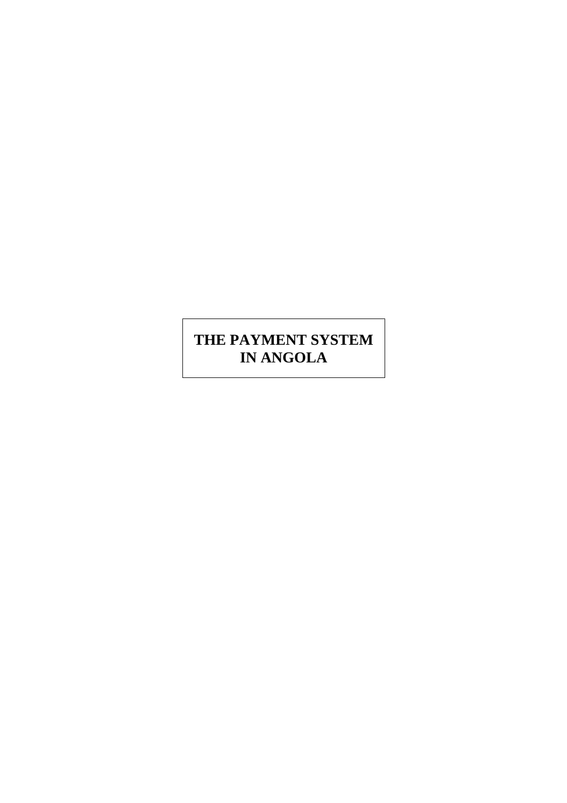# **THE PAYMENT SYSTEM IN ANGOLA**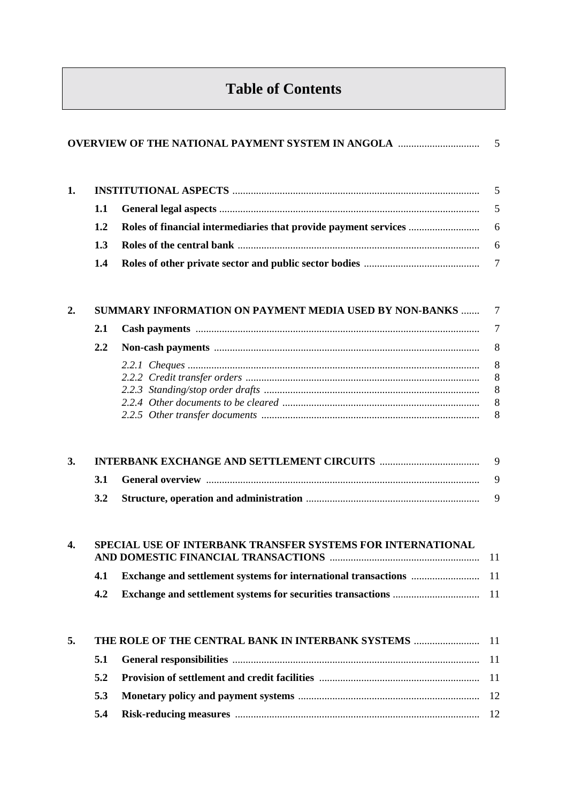# **Table of Contents**

|                |     |                                                             | 5               |
|----------------|-----|-------------------------------------------------------------|-----------------|
|                | 1.1 |                                                             | 5               |
|                | 1.2 |                                                             | 6               |
|                | 1.3 |                                                             | 6               |
|                | 1.4 |                                                             | $7\phantom{.0}$ |
| 2.             |     | SUMMARY INFORMATION ON PAYMENT MEDIA USED BY NON-BANKS      | $\overline{7}$  |
|                | 2.1 |                                                             | 7               |
|                | 2.2 |                                                             | 8               |
| 1.<br>3.<br>4. |     |                                                             | 8               |
|                |     |                                                             | 8               |
|                |     |                                                             | 8<br>8          |
|                |     |                                                             | 8               |
|                | 3.1 |                                                             | 9<br>9          |
|                | 3.2 |                                                             | 9               |
|                |     | SPECIAL USE OF INTERBANK TRANSFER SYSTEMS FOR INTERNATIONAL |                 |
|                | 4.1 |                                                             |                 |
|                | 4.2 |                                                             |                 |
| 5.             |     | THE ROLE OF THE CENTRAL BANK IN INTERBANK SYSTEMS           | -11             |
|                | 5.1 |                                                             | 11              |
|                | 5.2 |                                                             | 11              |
|                | 5.3 |                                                             | 12              |
|                | 5.4 |                                                             | 12              |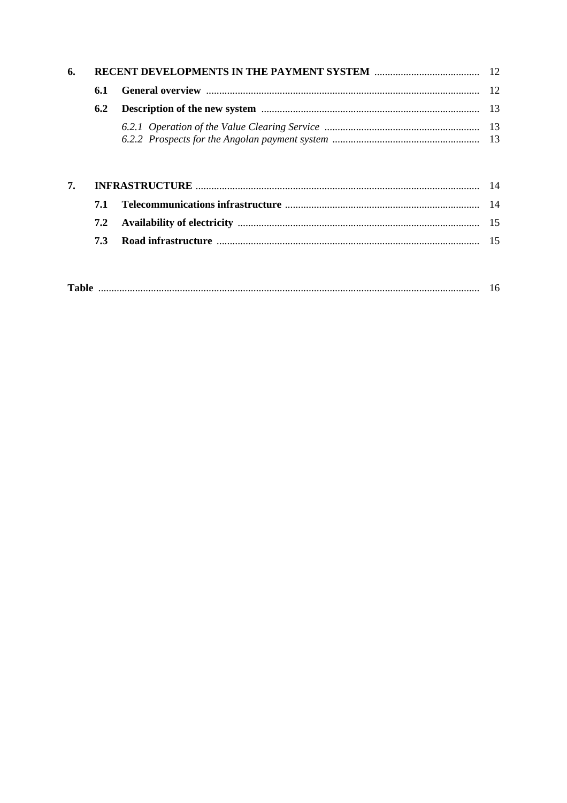| 6. |     |  |
|----|-----|--|
|    | 6.1 |  |
|    | 6.2 |  |
|    |     |  |
| 7. |     |  |
|    | 7.1 |  |
|    | 7.2 |  |
|    | 7.3 |  |

| $\sim$ |  |  |  |  |
|--------|--|--|--|--|
|--------|--|--|--|--|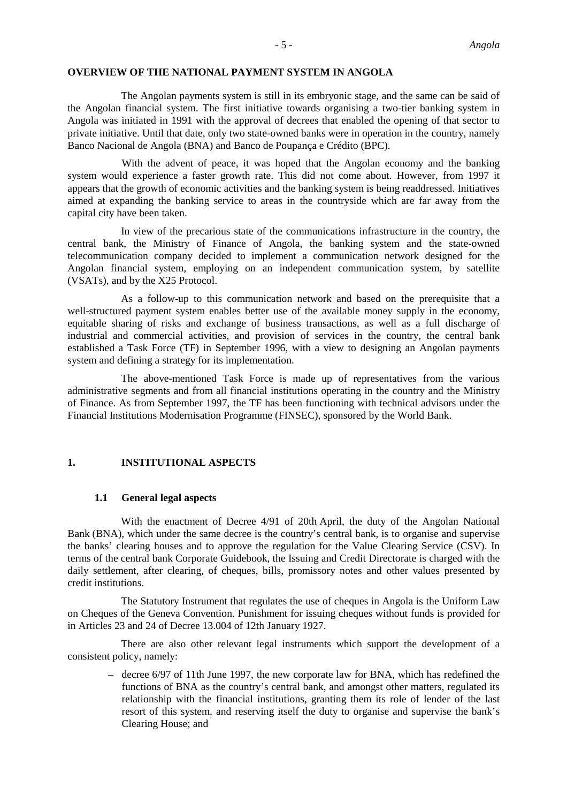The Angolan payments system is still in its embryonic stage, and the same can be said of the Angolan financial system. The first initiative towards organising a two-tier banking system in Angola was initiated in 1991 with the approval of decrees that enabled the opening of that sector to private initiative. Until that date, only two state-owned banks were in operation in the country, namely Banco Nacional de Angola (BNA) and Banco de Poupança e Crédito (BPC).

With the advent of peace, it was hoped that the Angolan economy and the banking system would experience a faster growth rate. This did not come about. However, from 1997 it appears that the growth of economic activities and the banking system is being readdressed. Initiatives aimed at expanding the banking service to areas in the countryside which are far away from the capital city have been taken.

In view of the precarious state of the communications infrastructure in the country, the central bank, the Ministry of Finance of Angola, the banking system and the state-owned telecommunication company decided to implement a communication network designed for the Angolan financial system, employing on an independent communication system, by satellite (VSATs), and by the X25 Protocol.

As a follow-up to this communication network and based on the prerequisite that a well-structured payment system enables better use of the available money supply in the economy, equitable sharing of risks and exchange of business transactions, as well as a full discharge of industrial and commercial activities, and provision of services in the country, the central bank established a Task Force (TF) in September 1996, with a view to designing an Angolan payments system and defining a strategy for its implementation.

The above-mentioned Task Force is made up of representatives from the various administrative segments and from all financial institutions operating in the country and the Ministry of Finance. As from September 1997, the TF has been functioning with technical advisors under the Financial Institutions Modernisation Programme (FINSEC), sponsored by the World Bank.

#### **1. INSTITUTIONAL ASPECTS**

#### **1.1 General legal aspects**

With the enactment of Decree 4/91 of 20th April, the duty of the Angolan National Bank (BNA), which under the same decree is the country's central bank, is to organise and supervise the banks' clearing houses and to approve the regulation for the Value Clearing Service (CSV). In terms of the central bank Corporate Guidebook, the Issuing and Credit Directorate is charged with the daily settlement, after clearing, of cheques, bills, promissory notes and other values presented by credit institutions.

The Statutory Instrument that regulates the use of cheques in Angola is the Uniform Law on Cheques of the Geneva Convention. Punishment for issuing cheques without funds is provided for in Articles 23 and 24 of Decree 13.004 of 12th January 1927.

There are also other relevant legal instruments which support the development of a consistent policy, namely:

– decree 6/97 of 11th June 1997, the new corporate law for BNA, which has redefined the functions of BNA as the country's central bank, and amongst other matters, regulated its relationship with the financial institutions, granting them its role of lender of the last resort of this system, and reserving itself the duty to organise and supervise the bank's Clearing House; and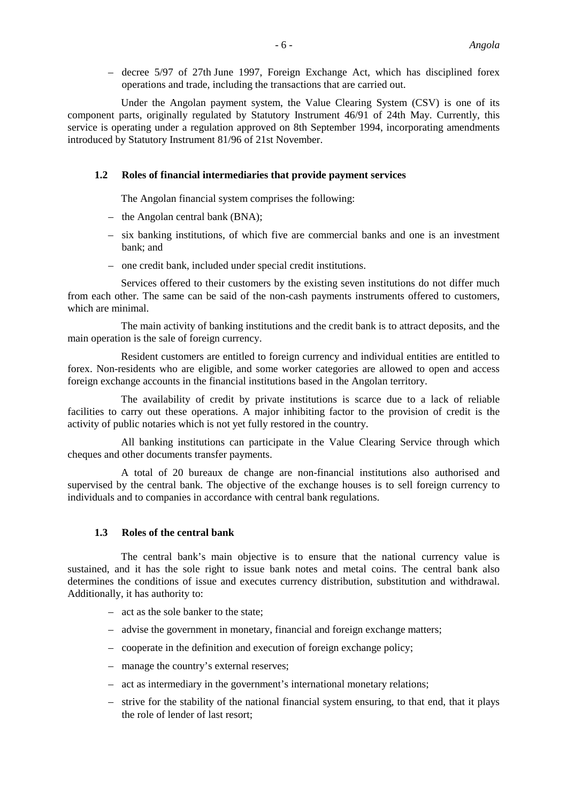– decree 5/97 of 27th June 1997, Foreign Exchange Act, which has disciplined forex operations and trade, including the transactions that are carried out.

Under the Angolan payment system, the Value Clearing System (CSV) is one of its component parts, originally regulated by Statutory Instrument 46/91 of 24th May. Currently, this service is operating under a regulation approved on 8th September 1994, incorporating amendments introduced by Statutory Instrument 81/96 of 21st November.

# **1.2 Roles of financial intermediaries that provide payment services**

The Angolan financial system comprises the following:

- the Angolan central bank (BNA);
- six banking institutions, of which five are commercial banks and one is an investment bank; and
- one credit bank, included under special credit institutions.

Services offered to their customers by the existing seven institutions do not differ much from each other. The same can be said of the non-cash payments instruments offered to customers, which are minimal.

The main activity of banking institutions and the credit bank is to attract deposits, and the main operation is the sale of foreign currency.

Resident customers are entitled to foreign currency and individual entities are entitled to forex. Non-residents who are eligible, and some worker categories are allowed to open and access foreign exchange accounts in the financial institutions based in the Angolan territory.

The availability of credit by private institutions is scarce due to a lack of reliable facilities to carry out these operations. A major inhibiting factor to the provision of credit is the activity of public notaries which is not yet fully restored in the country.

All banking institutions can participate in the Value Clearing Service through which cheques and other documents transfer payments.

A total of 20 bureaux de change are non-financial institutions also authorised and supervised by the central bank. The objective of the exchange houses is to sell foreign currency to individuals and to companies in accordance with central bank regulations.

#### **1.3 Roles of the central bank**

The central bank's main objective is to ensure that the national currency value is sustained, and it has the sole right to issue bank notes and metal coins. The central bank also determines the conditions of issue and executes currency distribution, substitution and withdrawal. Additionally, it has authority to:

- act as the sole banker to the state;
- advise the government in monetary, financial and foreign exchange matters;
- cooperate in the definition and execution of foreign exchange policy;
- manage the country's external reserves;
- act as intermediary in the government's international monetary relations;
- strive for the stability of the national financial system ensuring, to that end, that it plays the role of lender of last resort;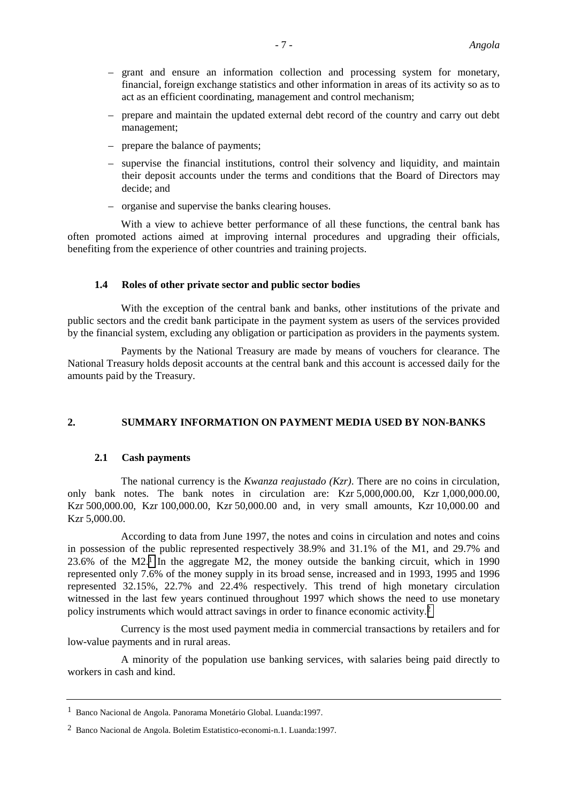- grant and ensure an information collection and processing system for monetary, financial, foreign exchange statistics and other information in areas of its activity so as to act as an efficient coordinating, management and control mechanism;
- prepare and maintain the updated external debt record of the country and carry out debt management;
- prepare the balance of payments;
- supervise the financial institutions, control their solvency and liquidity, and maintain their deposit accounts under the terms and conditions that the Board of Directors may decide; and
- organise and supervise the banks clearing houses.

With a view to achieve better performance of all these functions, the central bank has often promoted actions aimed at improving internal procedures and upgrading their officials, benefiting from the experience of other countries and training projects.

# **1.4 Roles of other private sector and public sector bodies**

With the exception of the central bank and banks, other institutions of the private and public sectors and the credit bank participate in the payment system as users of the services provided by the financial system, excluding any obligation or participation as providers in the payments system.

Payments by the National Treasury are made by means of vouchers for clearance. The National Treasury holds deposit accounts at the central bank and this account is accessed daily for the amounts paid by the Treasury.

# **2. SUMMARY INFORMATION ON PAYMENT MEDIA USED BY NON-BANKS**

# **2.1 Cash payments**

The national currency is the *Kwanza reajustado (Kzr)*. There are no coins in circulation, only bank notes. The bank notes in circulation are: Kzr 5,000,000.00, Kzr 1,000,000.00, Kzr 500,000.00, Kzr 100,000.00, Kzr 50,000.00 and, in very small amounts, Kzr 10,000.00 and Kzr 5,000.00.

According to data from June 1997, the notes and coins in circulation and notes and coins in possession of the public represented respectively 38.9% and 31.1% of the M1, and 29.7% and 23.6% of the M2.1 In the aggregate M2, the money outside the banking circuit, which in 1990 represented only 7.6% of the money supply in its broad sense, increased and in 1993, 1995 and 1996 represented 32.15%, 22.7% and 22.4% respectively. This trend of high monetary circulation witnessed in the last few years continued throughout 1997 which shows the need to use monetary policy instruments which would attract savings in order to finance economic activity.2

Currency is the most used payment media in commercial transactions by retailers and for low-value payments and in rural areas.

A minority of the population use banking services, with salaries being paid directly to workers in cash and kind.

<sup>1</sup> Banco Nacional de Angola. Panorama Monetário Global. Luanda:1997.

<sup>2</sup> Banco Nacional de Angola. Boletim Estatistico-economi-n.1. Luanda:1997.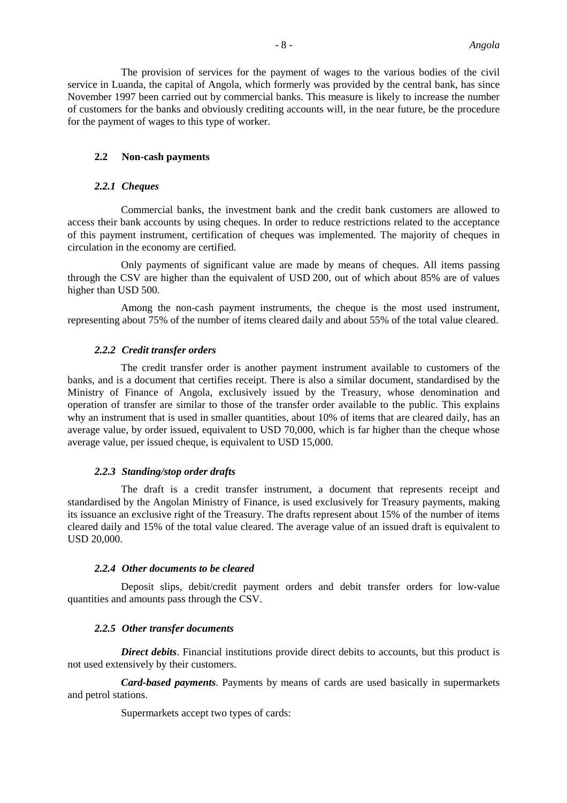The provision of services for the payment of wages to the various bodies of the civil service in Luanda, the capital of Angola, which formerly was provided by the central bank, has since November 1997 been carried out by commercial banks. This measure is likely to increase the number of customers for the banks and obviously crediting accounts will, in the near future, be the procedure for the payment of wages to this type of worker.

#### **2.2 Non-cash payments**

#### *2.2.1 Cheques*

Commercial banks, the investment bank and the credit bank customers are allowed to access their bank accounts by using cheques. In order to reduce restrictions related to the acceptance of this payment instrument, certification of cheques was implemented. The majority of cheques in circulation in the economy are certified.

Only payments of significant value are made by means of cheques. All items passing through the CSV are higher than the equivalent of USD 200, out of which about 85% are of values higher than USD 500.

Among the non-cash payment instruments, the cheque is the most used instrument, representing about 75% of the number of items cleared daily and about 55% of the total value cleared.

#### *2.2.2 Credit transfer orders*

The credit transfer order is another payment instrument available to customers of the banks, and is a document that certifies receipt. There is also a similar document, standardised by the Ministry of Finance of Angola, exclusively issued by the Treasury, whose denomination and operation of transfer are similar to those of the transfer order available to the public. This explains why an instrument that is used in smaller quantities, about 10% of items that are cleared daily, has an average value, by order issued, equivalent to USD 70,000, which is far higher than the cheque whose average value, per issued cheque, is equivalent to USD 15,000.

#### *2.2.3 Standing/stop order drafts*

The draft is a credit transfer instrument, a document that represents receipt and standardised by the Angolan Ministry of Finance, is used exclusively for Treasury payments, making its issuance an exclusive right of the Treasury. The drafts represent about 15% of the number of items cleared daily and 15% of the total value cleared. The average value of an issued draft is equivalent to USD 20,000.

#### *2.2.4 Other documents to be cleared*

Deposit slips, debit/credit payment orders and debit transfer orders for low-value quantities and amounts pass through the CSV.

#### *2.2.5 Other transfer documents*

*Direct debits*. Financial institutions provide direct debits to accounts, but this product is not used extensively by their customers.

*Card-based payments*. Payments by means of cards are used basically in supermarkets and petrol stations.

Supermarkets accept two types of cards: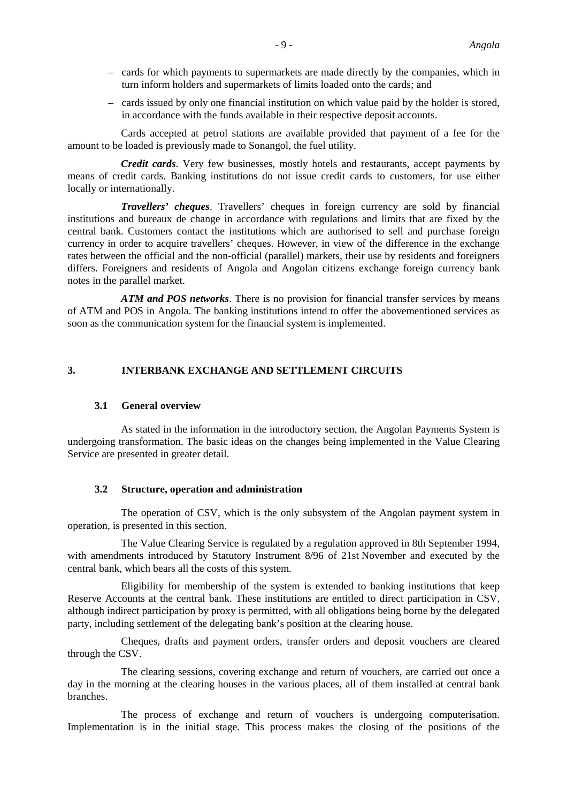- cards for which payments to supermarkets are made directly by the companies, which in turn inform holders and supermarkets of limits loaded onto the cards; and
- cards issued by only one financial institution on which value paid by the holder is stored, in accordance with the funds available in their respective deposit accounts.

Cards accepted at petrol stations are available provided that payment of a fee for the amount to be loaded is previously made to Sonangol, the fuel utility.

*Credit cards*. Very few businesses, mostly hotels and restaurants, accept payments by means of credit cards. Banking institutions do not issue credit cards to customers, for use either locally or internationally.

*Travellers' cheques*. Travellers' cheques in foreign currency are sold by financial institutions and bureaux de change in accordance with regulations and limits that are fixed by the central bank. Customers contact the institutions which are authorised to sell and purchase foreign currency in order to acquire travellers' cheques. However, in view of the difference in the exchange rates between the official and the non-official (parallel) markets, their use by residents and foreigners differs. Foreigners and residents of Angola and Angolan citizens exchange foreign currency bank notes in the parallel market.

*ATM and POS networks*. There is no provision for financial transfer services by means of ATM and POS in Angola. The banking institutions intend to offer the abovementioned services as soon as the communication system for the financial system is implemented.

# **3. INTERBANK EXCHANGE AND SETTLEMENT CIRCUITS**

### **3.1 General overview**

As stated in the information in the introductory section, the Angolan Payments System is undergoing transformation. The basic ideas on the changes being implemented in the Value Clearing Service are presented in greater detail.

#### **3.2 Structure, operation and administration**

The operation of CSV, which is the only subsystem of the Angolan payment system in operation, is presented in this section.

The Value Clearing Service is regulated by a regulation approved in 8th September 1994, with amendments introduced by Statutory Instrument 8/96 of 21st November and executed by the central bank, which bears all the costs of this system.

Eligibility for membership of the system is extended to banking institutions that keep Reserve Accounts at the central bank. These institutions are entitled to direct participation in CSV, although indirect participation by proxy is permitted, with all obligations being borne by the delegated party, including settlement of the delegating bank's position at the clearing house.

Cheques, drafts and payment orders, transfer orders and deposit vouchers are cleared through the CSV.

The clearing sessions, covering exchange and return of vouchers, are carried out once a day in the morning at the clearing houses in the various places, all of them installed at central bank branches.

The process of exchange and return of vouchers is undergoing computerisation. Implementation is in the initial stage. This process makes the closing of the positions of the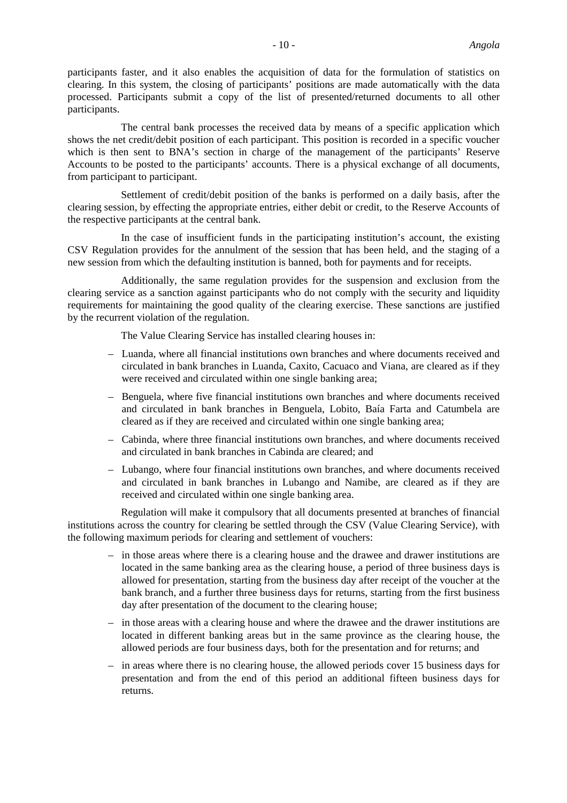participants faster, and it also enables the acquisition of data for the formulation of statistics on clearing. In this system, the closing of participants' positions are made automatically with the data processed. Participants submit a copy of the list of presented/returned documents to all other participants.

The central bank processes the received data by means of a specific application which shows the net credit/debit position of each participant. This position is recorded in a specific voucher which is then sent to BNA's section in charge of the management of the participants' Reserve Accounts to be posted to the participants' accounts. There is a physical exchange of all documents, from participant to participant.

Settlement of credit/debit position of the banks is performed on a daily basis, after the clearing session, by effecting the appropriate entries, either debit or credit, to the Reserve Accounts of the respective participants at the central bank.

In the case of insufficient funds in the participating institution's account, the existing CSV Regulation provides for the annulment of the session that has been held, and the staging of a new session from which the defaulting institution is banned, both for payments and for receipts.

Additionally, the same regulation provides for the suspension and exclusion from the clearing service as a sanction against participants who do not comply with the security and liquidity requirements for maintaining the good quality of the clearing exercise. These sanctions are justified by the recurrent violation of the regulation.

The Value Clearing Service has installed clearing houses in:

- Luanda, where all financial institutions own branches and where documents received and circulated in bank branches in Luanda, Caxito, Cacuaco and Viana, are cleared as if they were received and circulated within one single banking area;
- Benguela, where five financial institutions own branches and where documents received and circulated in bank branches in Benguela, Lobito, Baía Farta and Catumbela are cleared as if they are received and circulated within one single banking area;
- Cabinda, where three financial institutions own branches, and where documents received and circulated in bank branches in Cabinda are cleared; and
- Lubango, where four financial institutions own branches, and where documents received and circulated in bank branches in Lubango and Namibe, are cleared as if they are received and circulated within one single banking area.

Regulation will make it compulsory that all documents presented at branches of financial institutions across the country for clearing be settled through the CSV (Value Clearing Service), with the following maximum periods for clearing and settlement of vouchers:

- in those areas where there is a clearing house and the drawee and drawer institutions are located in the same banking area as the clearing house, a period of three business days is allowed for presentation, starting from the business day after receipt of the voucher at the bank branch, and a further three business days for returns, starting from the first business day after presentation of the document to the clearing house;
- in those areas with a clearing house and where the drawee and the drawer institutions are located in different banking areas but in the same province as the clearing house, the allowed periods are four business days, both for the presentation and for returns; and
- in areas where there is no clearing house, the allowed periods cover 15 business days for presentation and from the end of this period an additional fifteen business days for returns.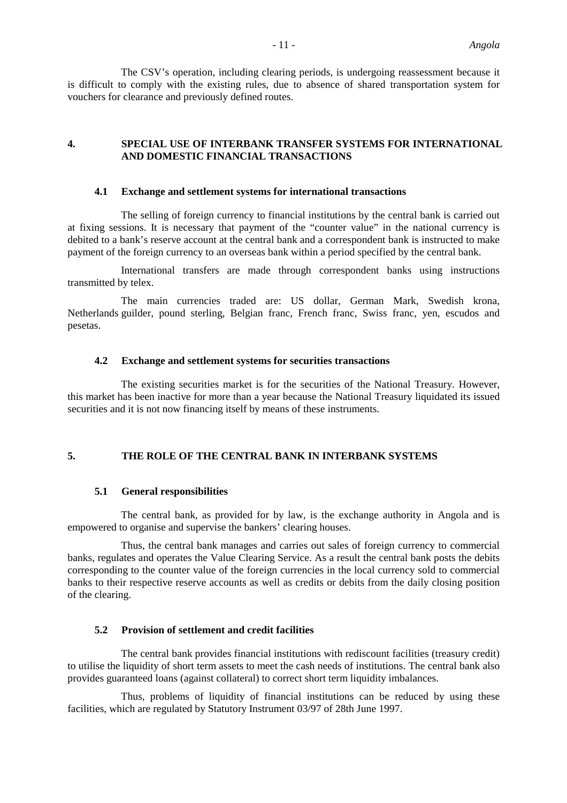The CSV's operation, including clearing periods, is undergoing reassessment because it is difficult to comply with the existing rules, due to absence of shared transportation system for vouchers for clearance and previously defined routes.

# **4. SPECIAL USE OF INTERBANK TRANSFER SYSTEMS FOR INTERNATIONAL AND DOMESTIC FINANCIAL TRANSACTIONS**

#### **4.1 Exchange and settlement systems for international transactions**

The selling of foreign currency to financial institutions by the central bank is carried out at fixing sessions. It is necessary that payment of the "counter value" in the national currency is debited to a bank's reserve account at the central bank and a correspondent bank is instructed to make payment of the foreign currency to an overseas bank within a period specified by the central bank.

International transfers are made through correspondent banks using instructions transmitted by telex.

The main currencies traded are: US dollar, German Mark, Swedish krona, Netherlands guilder, pound sterling, Belgian franc, French franc, Swiss franc, yen, escudos and pesetas.

# **4.2 Exchange and settlement systems for securities transactions**

The existing securities market is for the securities of the National Treasury. However, this market has been inactive for more than a year because the National Treasury liquidated its issued securities and it is not now financing itself by means of these instruments.

# **5. THE ROLE OF THE CENTRAL BANK IN INTERBANK SYSTEMS**

#### **5.1 General responsibilities**

The central bank, as provided for by law, is the exchange authority in Angola and is empowered to organise and supervise the bankers' clearing houses.

Thus, the central bank manages and carries out sales of foreign currency to commercial banks, regulates and operates the Value Clearing Service. As a result the central bank posts the debits corresponding to the counter value of the foreign currencies in the local currency sold to commercial banks to their respective reserve accounts as well as credits or debits from the daily closing position of the clearing.

#### **5.2 Provision of settlement and credit facilities**

The central bank provides financial institutions with rediscount facilities (treasury credit) to utilise the liquidity of short term assets to meet the cash needs of institutions. The central bank also provides guaranteed loans (against collateral) to correct short term liquidity imbalances.

Thus, problems of liquidity of financial institutions can be reduced by using these facilities, which are regulated by Statutory Instrument 03/97 of 28th June 1997.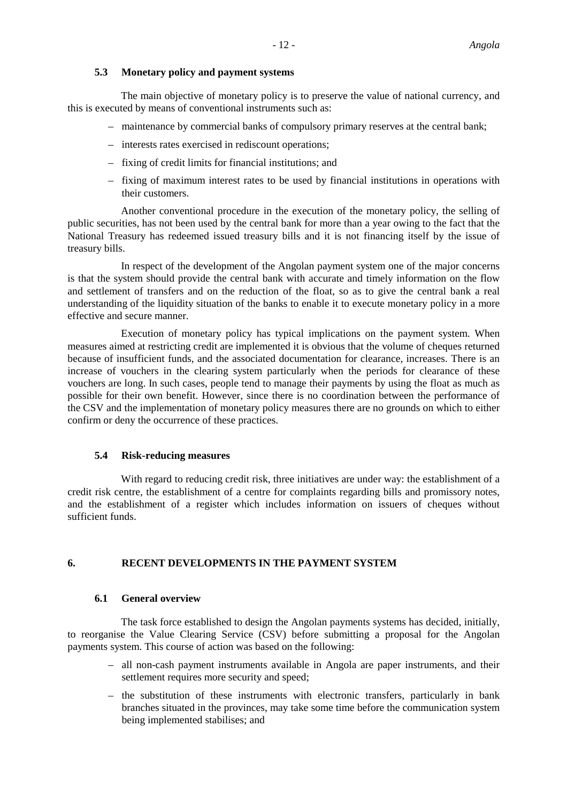# **5.3 Monetary policy and payment systems**

The main objective of monetary policy is to preserve the value of national currency, and this is executed by means of conventional instruments such as:

- maintenance by commercial banks of compulsory primary reserves at the central bank;
- interests rates exercised in rediscount operations;
- fixing of credit limits for financial institutions; and
- fixing of maximum interest rates to be used by financial institutions in operations with their customers.

Another conventional procedure in the execution of the monetary policy, the selling of public securities, has not been used by the central bank for more than a year owing to the fact that the National Treasury has redeemed issued treasury bills and it is not financing itself by the issue of treasury bills.

In respect of the development of the Angolan payment system one of the major concerns is that the system should provide the central bank with accurate and timely information on the flow and settlement of transfers and on the reduction of the float, so as to give the central bank a real understanding of the liquidity situation of the banks to enable it to execute monetary policy in a more effective and secure manner.

Execution of monetary policy has typical implications on the payment system. When measures aimed at restricting credit are implemented it is obvious that the volume of cheques returned because of insufficient funds, and the associated documentation for clearance, increases. There is an increase of vouchers in the clearing system particularly when the periods for clearance of these vouchers are long. In such cases, people tend to manage their payments by using the float as much as possible for their own benefit. However, since there is no coordination between the performance of the CSV and the implementation of monetary policy measures there are no grounds on which to either confirm or deny the occurrence of these practices.

# **5.4 Risk-reducing measures**

With regard to reducing credit risk, three initiatives are under way: the establishment of a credit risk centre, the establishment of a centre for complaints regarding bills and promissory notes, and the establishment of a register which includes information on issuers of cheques without sufficient funds.

# **6. RECENT DEVELOPMENTS IN THE PAYMENT SYSTEM**

# **6.1 General overview**

The task force established to design the Angolan payments systems has decided, initially, to reorganise the Value Clearing Service (CSV) before submitting a proposal for the Angolan payments system. This course of action was based on the following:

- all non-cash payment instruments available in Angola are paper instruments, and their settlement requires more security and speed;
- the substitution of these instruments with electronic transfers, particularly in bank branches situated in the provinces, may take some time before the communication system being implemented stabilises; and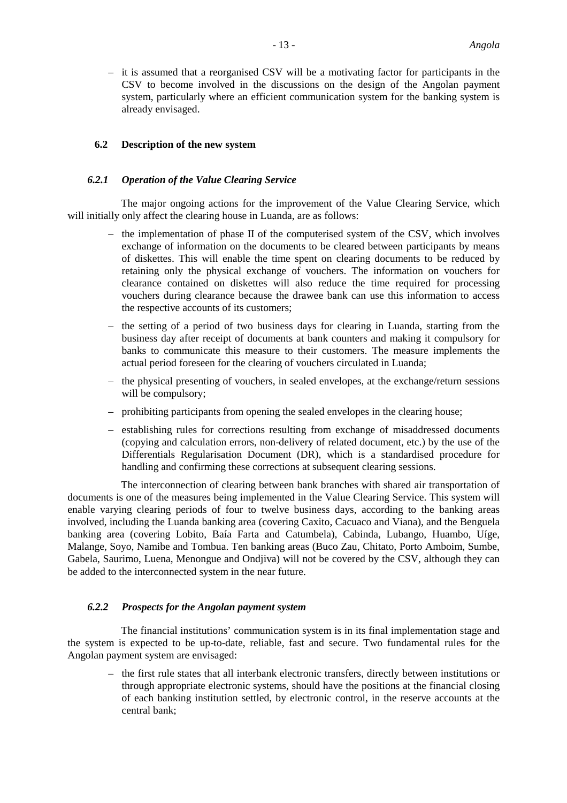– it is assumed that a reorganised CSV will be a motivating factor for participants in the CSV to become involved in the discussions on the design of the Angolan payment system, particularly where an efficient communication system for the banking system is already envisaged.

# **6.2 Description of the new system**

#### *6.2.1 Operation of the Value Clearing Service*

The major ongoing actions for the improvement of the Value Clearing Service, which will initially only affect the clearing house in Luanda, are as follows:

- the implementation of phase II of the computerised system of the CSV, which involves exchange of information on the documents to be cleared between participants by means of diskettes. This will enable the time spent on clearing documents to be reduced by retaining only the physical exchange of vouchers. The information on vouchers for clearance contained on diskettes will also reduce the time required for processing vouchers during clearance because the drawee bank can use this information to access the respective accounts of its customers;
- the setting of a period of two business days for clearing in Luanda, starting from the business day after receipt of documents at bank counters and making it compulsory for banks to communicate this measure to their customers. The measure implements the actual period foreseen for the clearing of vouchers circulated in Luanda;
- the physical presenting of vouchers, in sealed envelopes, at the exchange/return sessions will be compulsory;
- prohibiting participants from opening the sealed envelopes in the clearing house;
- establishing rules for corrections resulting from exchange of misaddressed documents (copying and calculation errors, non-delivery of related document, etc.) by the use of the Differentials Regularisation Document (DR), which is a standardised procedure for handling and confirming these corrections at subsequent clearing sessions.

The interconnection of clearing between bank branches with shared air transportation of documents is one of the measures being implemented in the Value Clearing Service. This system will enable varying clearing periods of four to twelve business days, according to the banking areas involved, including the Luanda banking area (covering Caxito, Cacuaco and Viana), and the Benguela banking area (covering Lobito, Baía Farta and Catumbela), Cabinda, Lubango, Huambo, Uíge, Malange, Soyo, Namibe and Tombua. Ten banking areas (Buco Zau, Chitato, Porto Amboim, Sumbe, Gabela, Saurimo, Luena, Menongue and Ondjiva) will not be covered by the CSV, although they can be added to the interconnected system in the near future.

#### *6.2.2 Prospects for the Angolan payment system*

The financial institutions' communication system is in its final implementation stage and the system is expected to be up-to-date, reliable, fast and secure. Two fundamental rules for the Angolan payment system are envisaged:

– the first rule states that all interbank electronic transfers, directly between institutions or through appropriate electronic systems, should have the positions at the financial closing of each banking institution settled, by electronic control, in the reserve accounts at the central bank;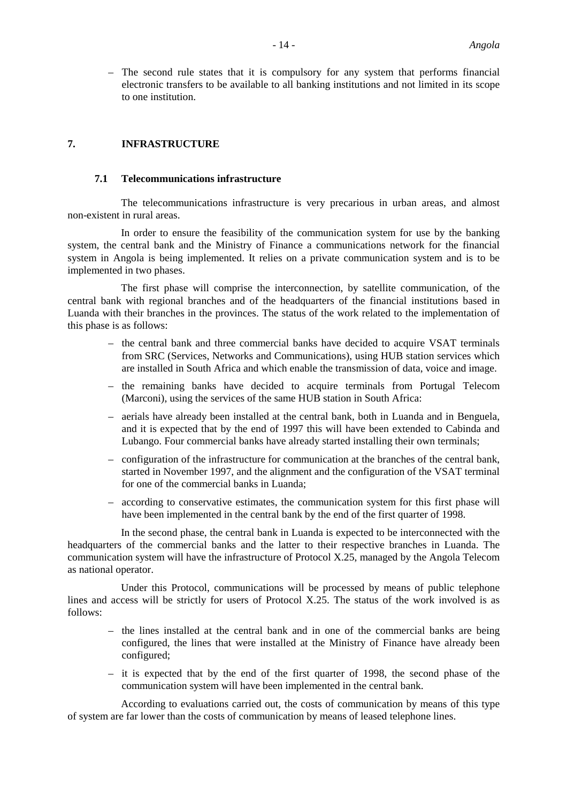– The second rule states that it is compulsory for any system that performs financial electronic transfers to be available to all banking institutions and not limited in its scope to one institution.

# **7. INFRASTRUCTURE**

#### **7.1 Telecommunications infrastructure**

The telecommunications infrastructure is very precarious in urban areas, and almost non-existent in rural areas.

In order to ensure the feasibility of the communication system for use by the banking system, the central bank and the Ministry of Finance a communications network for the financial system in Angola is being implemented. It relies on a private communication system and is to be implemented in two phases.

The first phase will comprise the interconnection, by satellite communication, of the central bank with regional branches and of the headquarters of the financial institutions based in Luanda with their branches in the provinces. The status of the work related to the implementation of this phase is as follows:

- the central bank and three commercial banks have decided to acquire VSAT terminals from SRC (Services, Networks and Communications), using HUB station services which are installed in South Africa and which enable the transmission of data, voice and image.
- the remaining banks have decided to acquire terminals from Portugal Telecom (Marconi), using the services of the same HUB station in South Africa:
- aerials have already been installed at the central bank, both in Luanda and in Benguela, and it is expected that by the end of 1997 this will have been extended to Cabinda and Lubango. Four commercial banks have already started installing their own terminals;
- configuration of the infrastructure for communication at the branches of the central bank, started in November 1997, and the alignment and the configuration of the VSAT terminal for one of the commercial banks in Luanda;
- according to conservative estimates, the communication system for this first phase will have been implemented in the central bank by the end of the first quarter of 1998.

In the second phase, the central bank in Luanda is expected to be interconnected with the headquarters of the commercial banks and the latter to their respective branches in Luanda. The communication system will have the infrastructure of Protocol X.25, managed by the Angola Telecom as national operator.

Under this Protocol, communications will be processed by means of public telephone lines and access will be strictly for users of Protocol X.25. The status of the work involved is as follows:

- the lines installed at the central bank and in one of the commercial banks are being configured, the lines that were installed at the Ministry of Finance have already been configured;
- it is expected that by the end of the first quarter of 1998, the second phase of the communication system will have been implemented in the central bank.

According to evaluations carried out, the costs of communication by means of this type of system are far lower than the costs of communication by means of leased telephone lines.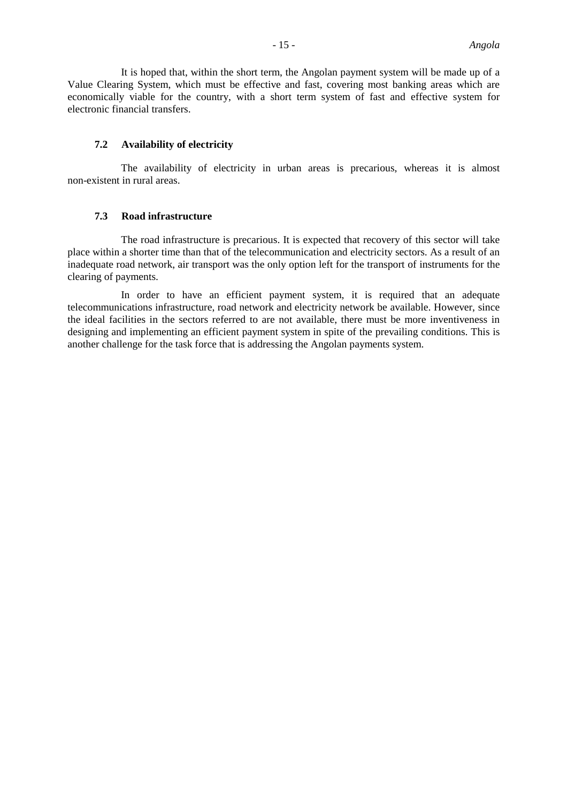It is hoped that, within the short term, the Angolan payment system will be made up of a Value Clearing System, which must be effective and fast, covering most banking areas which are economically viable for the country, with a short term system of fast and effective system for electronic financial transfers.

### **7.2 Availability of electricity**

The availability of electricity in urban areas is precarious, whereas it is almost non-existent in rural areas.

# **7.3 Road infrastructure**

The road infrastructure is precarious. It is expected that recovery of this sector will take place within a shorter time than that of the telecommunication and electricity sectors. As a result of an inadequate road network, air transport was the only option left for the transport of instruments for the clearing of payments.

In order to have an efficient payment system, it is required that an adequate telecommunications infrastructure, road network and electricity network be available. However, since the ideal facilities in the sectors referred to are not available, there must be more inventiveness in designing and implementing an efficient payment system in spite of the prevailing conditions. This is another challenge for the task force that is addressing the Angolan payments system.